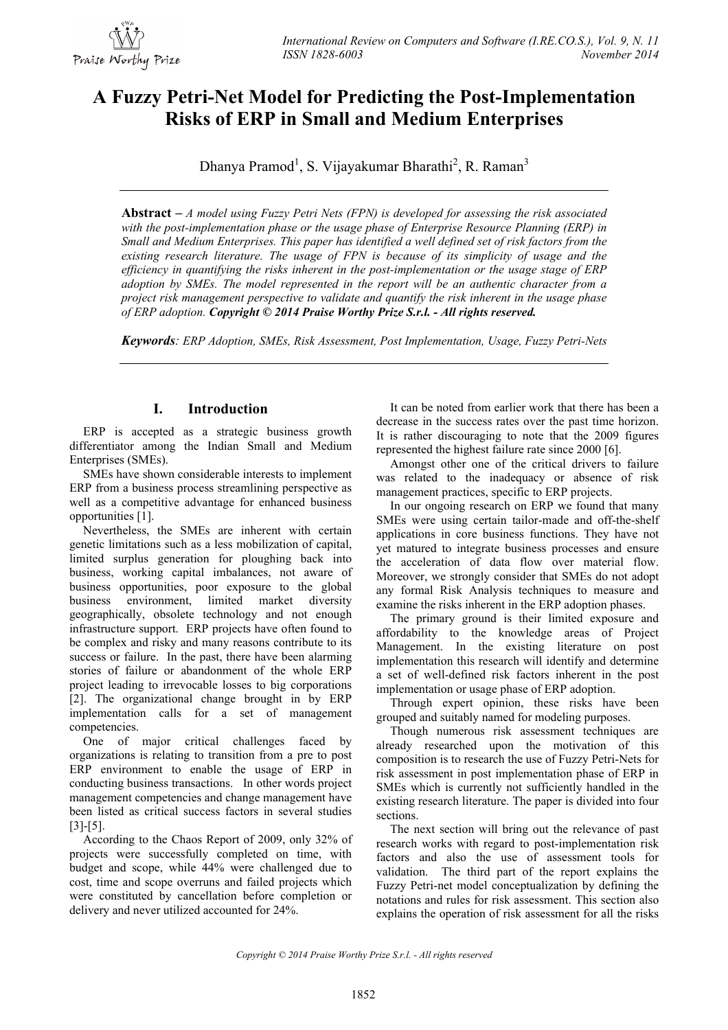

# **A Fuzzy Petri-Net Model for Predicting the Post-Implementation Risks of ERP in Small and Medium Enterprises**

Dhanya Pramod<sup>1</sup>, S. Vijayakumar Bharathi<sup>2</sup>, R. Raman<sup>3</sup>

**Abstract –** *A model using Fuzzy Petri Nets (FPN) is developed for assessing the risk associated with the post-implementation phase or the usage phase of Enterprise Resource Planning (ERP) in Small and Medium Enterprises. This paper has identified a well defined set of risk factors from the existing research literature. The usage of FPN is because of its simplicity of usage and the efficiency in quantifying the risks inherent in the post-implementation or the usage stage of ERP adoption by SMEs. The model represented in the report will be an authentic character from a project risk management perspective to validate and quantify the risk inherent in the usage phase of ERP adoption. Copyright © 2014 Praise Worthy Prize S.r.l. - All rights reserved.*

*Keywords: ERP Adoption, SMEs, Risk Assessment, Post Implementation, Usage, Fuzzy Petri-Nets*

## **I. Introduction**

ERP is accepted as a strategic business growth differentiator among the Indian Small and Medium Enterprises (SMEs).

SMEs have shown considerable interests to implement ERP from a business process streamlining perspective as well as a competitive advantage for enhanced business opportunities [1].

Nevertheless, the SMEs are inherent with certain genetic limitations such as a less mobilization of capital, limited surplus generation for ploughing back into business, working capital imbalances, not aware of business opportunities, poor exposure to the global business environment, limited market diversity geographically, obsolete technology and not enough infrastructure support. ERP projects have often found to be complex and risky and many reasons contribute to its success or failure. In the past, there have been alarming stories of failure or abandonment of the whole ERP project leading to irrevocable losses to big corporations [2]. The organizational change brought in by ERP implementation calls for a set of management competencies.

One of major critical challenges faced by organizations is relating to transition from a pre to post ERP environment to enable the usage of ERP in conducting business transactions. In other words project management competencies and change management have been listed as critical success factors in several studies [3]-[5].

According to the Chaos Report of 2009, only 32% of projects were successfully completed on time, with budget and scope, while 44% were challenged due to cost, time and scope overruns and failed projects which were constituted by cancellation before completion or delivery and never utilized accounted for 24%.

It can be noted from earlier work that there has been a decrease in the success rates over the past time horizon. It is rather discouraging to note that the 2009 figures represented the highest failure rate since 2000 [6].

Amongst other one of the critical drivers to failure was related to the inadequacy or absence of risk management practices, specific to ERP projects.

In our ongoing research on ERP we found that many SMEs were using certain tailor-made and off-the-shelf applications in core business functions. They have not yet matured to integrate business processes and ensure the acceleration of data flow over material flow. Moreover, we strongly consider that SMEs do not adopt any formal Risk Analysis techniques to measure and examine the risks inherent in the ERP adoption phases.

The primary ground is their limited exposure and affordability to the knowledge areas of Project Management. In the existing literature on post implementation this research will identify and determine a set of well-defined risk factors inherent in the post implementation or usage phase of ERP adoption.

Through expert opinion, these risks have been grouped and suitably named for modeling purposes.

Though numerous risk assessment techniques are already researched upon the motivation of this composition is to research the use of Fuzzy Petri-Nets for risk assessment in post implementation phase of ERP in SMEs which is currently not sufficiently handled in the existing research literature. The paper is divided into four sections.

The next section will bring out the relevance of past research works with regard to post-implementation risk factors and also the use of assessment tools for validation. The third part of the report explains the Fuzzy Petri-net model conceptualization by defining the notations and rules for risk assessment. This section also explains the operation of risk assessment for all the risks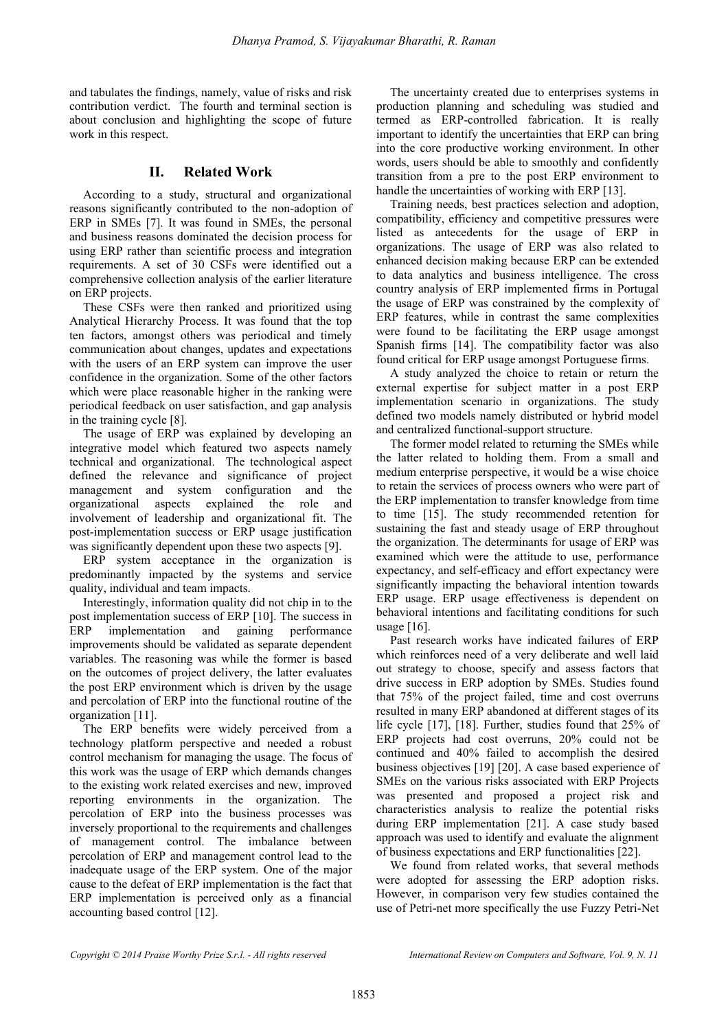and tabulates the findings, namely, value of risks and risk contribution verdict. The fourth and terminal section is about conclusion and highlighting the scope of future work in this respect.

## **II. Related Work**

According to a study, structural and organizational reasons significantly contributed to the non-adoption of ERP in SMEs [7]. It was found in SMEs, the personal and business reasons dominated the decision process for using ERP rather than scientific process and integration requirements. A set of 30 CSFs were identified out a comprehensive collection analysis of the earlier literature on ERP projects.

These CSFs were then ranked and prioritized using Analytical Hierarchy Process. It was found that the top ten factors, amongst others was periodical and timely communication about changes, updates and expectations with the users of an ERP system can improve the user confidence in the organization. Some of the other factors which were place reasonable higher in the ranking were periodical feedback on user satisfaction, and gap analysis in the training cycle [8].

The usage of ERP was explained by developing an integrative model which featured two aspects namely technical and organizational. The technological aspect defined the relevance and significance of project management and system configuration and the organizational aspects explained the role and involvement of leadership and organizational fit. The post-implementation success or ERP usage justification was significantly dependent upon these two aspects [9].

ERP system acceptance in the organization is predominantly impacted by the systems and service quality, individual and team impacts.

Interestingly, information quality did not chip in to the post implementation success of ERP [10]. The success in ERP implementation and gaining performance improvements should be validated as separate dependent variables. The reasoning was while the former is based on the outcomes of project delivery, the latter evaluates the post ERP environment which is driven by the usage and percolation of ERP into the functional routine of the organization [11].

The ERP benefits were widely perceived from a technology platform perspective and needed a robust control mechanism for managing the usage. The focus of this work was the usage of ERP which demands changes to the existing work related exercises and new, improved reporting environments in the organization. The percolation of ERP into the business processes was inversely proportional to the requirements and challenges of management control. The imbalance between percolation of ERP and management control lead to the inadequate usage of the ERP system. One of the major cause to the defeat of ERP implementation is the fact that ERP implementation is perceived only as a financial accounting based control [12].

The uncertainty created due to enterprises systems in production planning and scheduling was studied and termed as ERP-controlled fabrication. It is really important to identify the uncertainties that ERP can bring into the core productive working environment. In other words, users should be able to smoothly and confidently transition from a pre to the post ERP environment to handle the uncertainties of working with ERP [13].

Training needs, best practices selection and adoption, compatibility, efficiency and competitive pressures were listed as antecedents for the usage of ERP in organizations. The usage of ERP was also related to enhanced decision making because ERP can be extended to data analytics and business intelligence. The cross country analysis of ERP implemented firms in Portugal the usage of ERP was constrained by the complexity of ERP features, while in contrast the same complexities were found to be facilitating the ERP usage amongst Spanish firms [14]. The compatibility factor was also found critical for ERP usage amongst Portuguese firms.

A study analyzed the choice to retain or return the external expertise for subject matter in a post ERP implementation scenario in organizations. The study defined two models namely distributed or hybrid model and centralized functional-support structure.

The former model related to returning the SMEs while the latter related to holding them. From a small and medium enterprise perspective, it would be a wise choice to retain the services of process owners who were part of the ERP implementation to transfer knowledge from time to time [15]. The study recommended retention for sustaining the fast and steady usage of ERP throughout the organization. The determinants for usage of ERP was examined which were the attitude to use, performance expectancy, and self-efficacy and effort expectancy were significantly impacting the behavioral intention towards ERP usage. ERP usage effectiveness is dependent on behavioral intentions and facilitating conditions for such usage  $[16]$ .

Past research works have indicated failures of ERP which reinforces need of a very deliberate and well laid out strategy to choose, specify and assess factors that drive success in ERP adoption by SMEs. Studies found that 75% of the project failed, time and cost overruns resulted in many ERP abandoned at different stages of its life cycle [17], [18]. Further, studies found that 25% of ERP projects had cost overruns, 20% could not be continued and 40% failed to accomplish the desired business objectives [19] [20]. A case based experience of SMEs on the various risks associated with ERP Projects was presented and proposed a project risk and characteristics analysis to realize the potential risks during ERP implementation [21]. A case study based approach was used to identify and evaluate the alignment of business expectations and ERP functionalities [22].

We found from related works, that several methods were adopted for assessing the ERP adoption risks. However, in comparison very few studies contained the use of Petri-net more specifically the use Fuzzy Petri-Net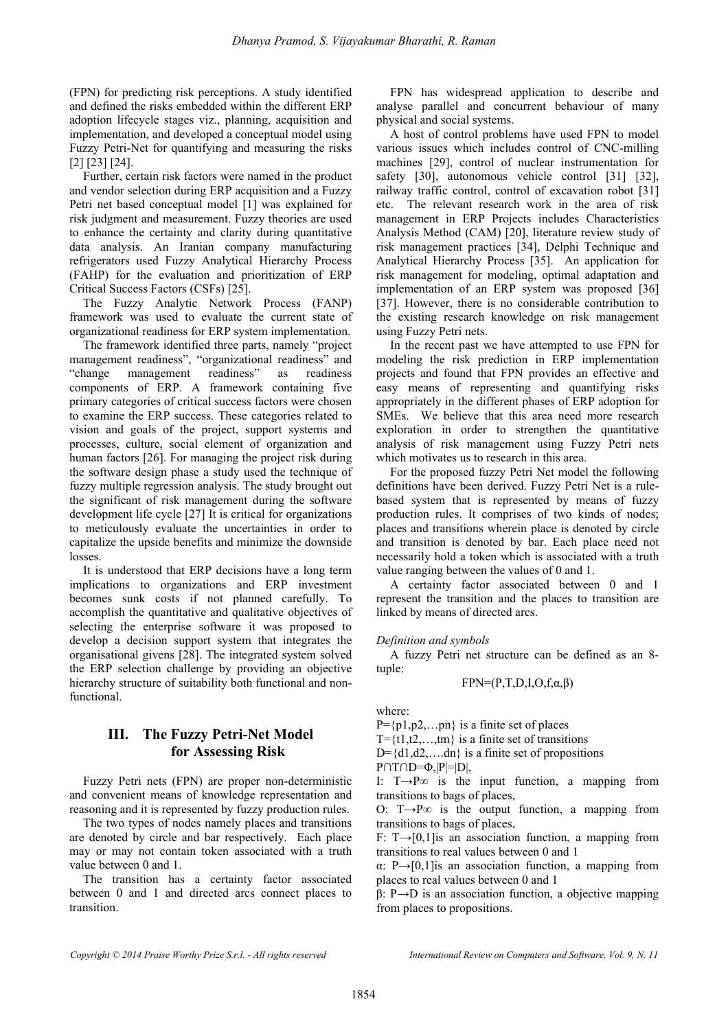(FPN) for predicting risk perceptions. A study identified and defined the risks embedded within the different ERP adoption lifecycle stages viz., planning, acquisition and implementation, and developed a conceptual model using Fuzzy Petri-Net for quantifying and measuring the risks [2] [23] [24].

Further, certain risk factors were named in the product and vendor selection during ERP acquisition and a Fuzzy Petri net based conceptual model [1] was explained for risk judgment and measurement. Fuzzy theories are used to enhance the certainty and clarity during quantitative data analysis. An Iranian company manufacturing refrigerators used Fuzzy Analytical Hierarchy Process (FAHP) for the evaluation and prioritization of ERP Critical Success Factors (CSFs) [25].

The Fuzzy Analytic Network Process (FANP) framework was used to evaluate the current state of organizational readiness for ERP system implementation.

The framework identified three parts, namely "project management readiness", "organizational readiness" and "change management readiness" as readiness components of ERP. A framework containing five primary categories of critical success factors were chosen to examine the ERP success. These categories related to vision and goals of the project, support systems and processes, culture, social element of organization and human factors [26]. For managing the project risk during the software design phase a study used the technique of fuzzy multiple regression analysis. The study brought out the significant of risk management during the software development life cycle [27] It is critical for organizations to meticulously evaluate the uncertainties in order to capitalize the upside benefits and minimize the downside losses.

It is understood that ERP decisions have a long term implications to organizations and ERP investment becomes sunk costs if not planned carefully. To accomplish the quantitative and qualitative objectives of selecting the enterprise software it was proposed to develop a decision support system that integrates the organisational givens [28]. The integrated system solved the ERP selection challenge by providing an objective hierarchy structure of suitability both functional and nonfunctional.

## **III. The Fuzzy Petri-Net Model for Assessing Risk**

Fuzzy Petri nets (FPN) are proper non-deterministic and convenient means of knowledge representation and reasoning and it is represented by fuzzy production rules.

The two types of nodes namely places and transitions are denoted by circle and bar respectively. Each place may or may not contain token associated with a truth value between 0 and 1.

The transition has a certainty factor associated between 0 and 1 and directed arcs connect places to transition.

FPN has widespread application to describe and analyse parallel and concurrent behaviour of many physical and social systems.

A host of control problems have used FPN to model various issues which includes control of CNC-milling machines [29], control of nuclear instrumentation for safety [30], autonomous vehicle control [31] [32], railway traffic control, control of excavation robot [31] etc. The relevant research work in the area of risk management in ERP Projects includes Characteristics Analysis Method (CAM) [20], literature review study of risk management practices [34], Delphi Technique and Analytical Hierarchy Process [35]. An application for risk management for modeling, optimal adaptation and implementation of an ERP system was proposed [36] [37]. However, there is no considerable contribution to the existing research knowledge on risk management using Fuzzy Petri nets.

In the recent past we have attempted to use FPN for modeling the risk prediction in ERP implementation projects and found that FPN provides an effective and easy means of representing and quantifying risks appropriately in the different phases of ERP adoption for SMEs. We believe that this area need more research exploration in order to strengthen the quantitative analysis of risk management using Fuzzy Petri nets which motivates us to research in this area.

For the proposed fuzzy Petri Net model the following definitions have been derived. Fuzzy Petri Net is a rulebased system that is represented by means of fuzzy production rules. It comprises of two kinds of nodes; places and transitions wherein place is denoted by circle and transition is denoted by bar. Each place need not necessarily hold a token which is associated with a truth value ranging between the values of 0 and 1.

A certainty factor associated between 0 and 1 represent the transition and the places to transition are linked by means of directed arcs.

### *Definition and symbols*

A fuzzy Petri net structure can be defined as an 8 tuple:

$$
FPN=(P,T,D,I,O,f,\alpha,\beta)
$$

where:

 $P = \{p1, p2, \ldots pn\}$  is a finite set of places

 $T=\{t1,t2,\ldots,tm\}$  is a finite set of transitions

 $D = \{d1, d2, \ldots, dn\}$  is a finite set of propositions

 $P \cap T \cap D = \Phi$ ,  $|P| = |D|$ ,

I: T $\rightarrow$ P $\infty$  is the input function, a mapping from transitions to bags of places,

O: T $\rightarrow$ P $\infty$  is the output function, a mapping from transitions to bags of places,

F: T $\rightarrow$ [0,1] is an association function, a mapping from transitions to real values between 0 and 1

α: P→[0,1]is an association function, a mapping from places to real values between 0 and 1

β: P→D is an association function, a objective mapping from places to propositions.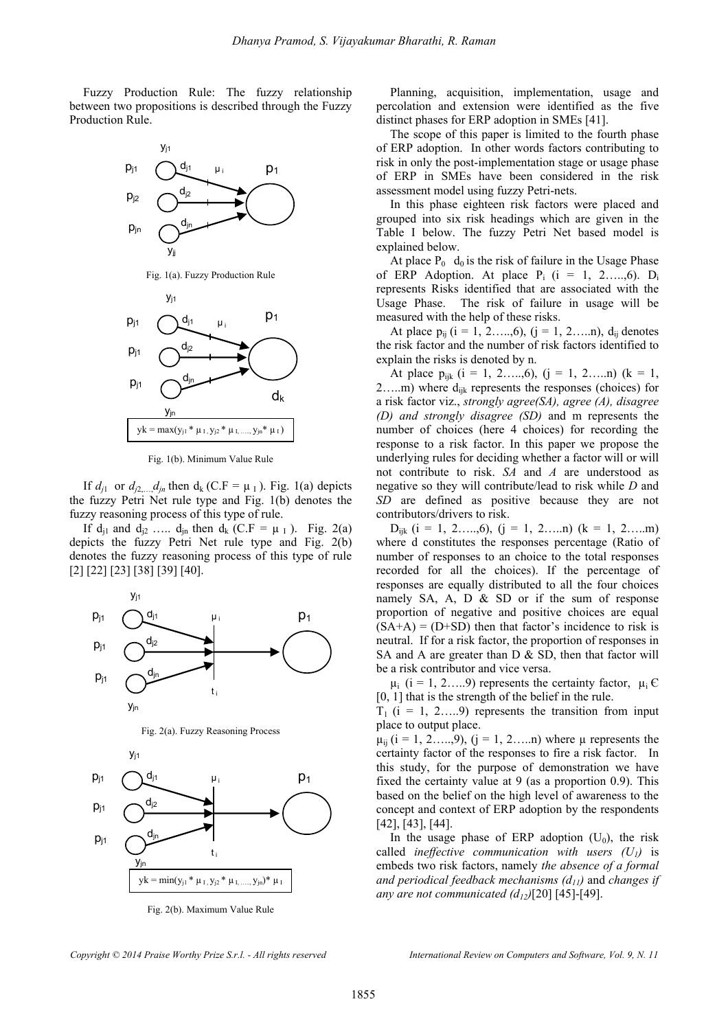Fuzzy Production Rule: The fuzzy relationship between two propositions is described through the Fuzzy Production Rule.



Fig. 1(a). Fuzzy Production Rule



Fig. 1(b). Minimum Value Rule

If  $d_{j1}$  or  $d_{j2}$ ,  $d_{jn}$  then  $d_k$  (C.F =  $\mu_l$ ). Fig. 1(a) depicts the fuzzy Petri Net rule type and Fig. 1(b) denotes the fuzzy reasoning process of this type of rule.

If  $d_{i1}$  and  $d_{i2}$  …..  $d_{in}$  then  $d_k$  (C.F =  $\mu$ <sub>I</sub>). Fig. 2(a) depicts the fuzzy Petri Net rule type and Fig. 2(b) denotes the fuzzy reasoning process of this type of rule [2] [22] [23] [38] [39] [40].



 $yk = min(y_{j1} * \mu_{I, y_{j2}} * \mu_{I, \dots, y_{jn}}) * \mu_{I}$ 

t i

yjn

Fig. 2(b). Maximum Value Rule

Planning, acquisition, implementation, usage and percolation and extension were identified as the five distinct phases for ERP adoption in SMEs [41].

The scope of this paper is limited to the fourth phase of ERP adoption. In other words factors contributing to risk in only the post-implementation stage or usage phase of ERP in SMEs have been considered in the risk assessment model using fuzzy Petri-nets.

In this phase eighteen risk factors were placed and grouped into six risk headings which are given in the Table I below. The fuzzy Petri Net based model is explained below.

At place  $P_0$  d<sub>0</sub> is the risk of failure in the Usage Phase of ERP Adoption. At place  $P_i$  (i = 1, 2....,6). D<sub>i</sub> represents Risks identified that are associated with the Usage Phase. The risk of failure in usage will be measured with the help of these risks.

At place  $p_{ii}$  ( $i = 1, 2, \ldots, 6$ ), ( $j = 1, 2, \ldots, n$ ),  $d_{ii}$  denotes the risk factor and the number of risk factors identified to explain the risks is denoted by n.

At place  $p_{ijk}$  (i = 1, 2…,6), (j = 1, 2…..n) (k = 1, 2....m) where  $d_{ijk}$  represents the responses (choices) for a risk factor viz., *strongly agree(SA), agree (A), disagree (D) and strongly disagree (SD)* and m represents the number of choices (here 4 choices) for recording the response to a risk factor. In this paper we propose the underlying rules for deciding whether a factor will or will not contribute to risk. *SA* and *A* are understood as negative so they will contribute/lead to risk while *D* and *SD* are defined as positive because they are not contributors/drivers to risk.

 $D_{ijk}$  (i = 1, 2……,6), (j = 1, 2……n) (k = 1, 2……m) where d constitutes the responses percentage (Ratio of number of responses to an choice to the total responses recorded for all the choices). If the percentage of responses are equally distributed to all the four choices namely SA, A, D & SD or if the sum of response proportion of negative and positive choices are equal  $(SA+A) = (D+SD)$  then that factor's incidence to risk is neutral. If for a risk factor, the proportion of responses in SA and A are greater than  $D \& S D$ , then that factor will be a risk contributor and vice versa.

 $\mu_i$  (i = 1, 2.....9) represents the certainty factor,  $\mu_i \in$ [0, 1] that is the strength of the belief in the rule.

 $T_1$  (i = 1, 2.....9) represents the transition from input place to output place.

 $\mu_{ii}$  (i = 1, 2….,9), (j = 1, 2…..n) where  $\mu$  represents the certainty factor of the responses to fire a risk factor. In this study, for the purpose of demonstration we have fixed the certainty value at 9 (as a proportion 0.9). This based on the belief on the high level of awareness to the concept and context of ERP adoption by the respondents [42], [43], [44].

In the usage phase of ERP adoption  $(U_0)$ , the risk called *ineffective communication with users (U1)* is embeds two risk factors, namely *the absence of a formal and periodical feedback mechanisms (d11)* and *changes if any are not communicated*  $(d_{12})$ *[20]* [45]-[49].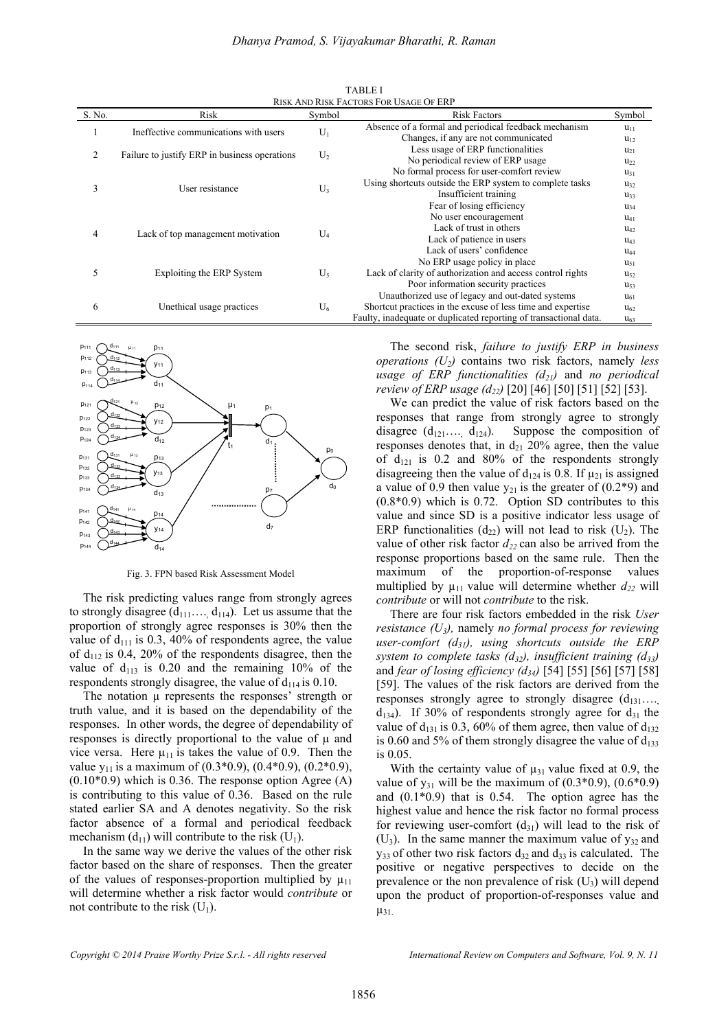| <b>TABLE I</b>                                |  |  |  |  |  |  |
|-----------------------------------------------|--|--|--|--|--|--|
| <b>RISK AND RISK FACTORS FOR USAGE OF ERP</b> |  |  |  |  |  |  |
|                                               |  |  |  |  |  |  |

| S. No. | Risk                                          | Symbol | <b>Risk Factors</b>                                               | Symbol          |
|--------|-----------------------------------------------|--------|-------------------------------------------------------------------|-----------------|
|        | Ineffective communications with users         | $U_1$  | Absence of a formal and periodical feedback mechanism             | $u_{11}$        |
|        |                                               |        | Changes, if any are not communicated                              | $u_{12}$        |
| 2      | Failure to justify ERP in business operations | $U_2$  | Less usage of ERP functionalities                                 | $u_{21}$        |
|        |                                               |        | No periodical review of ERP usage                                 | $u_{22}$        |
| 3      | User resistance                               | $U_3$  | No formal process for user-comfort review                         | $u_{31}$        |
|        |                                               |        | Using shortcuts outside the ERP system to complete tasks          | $u_{32}$        |
|        |                                               |        | Insufficient training                                             | U <sub>33</sub> |
|        |                                               |        | Fear of losing efficiency                                         | $u_{34}$        |
| 4      | Lack of top management motivation             | $U_4$  | No user encouragement                                             | $u_{41}$        |
|        |                                               |        | Lack of trust in others                                           | $u_{42}$        |
|        |                                               |        | Lack of patience in users                                         | $u_{43}$        |
|        |                                               |        | Lack of users' confidence                                         | $u_{44}$        |
| 5      | Exploiting the ERP System                     | $U_5$  | No ERP usage policy in place                                      | $u_{51}$        |
|        |                                               |        | Lack of clarity of authorization and access control rights        | $u_{52}$        |
|        |                                               |        | Poor information security practices                               | $u_{53}$        |
| 6      | Unethical usage practices                     | $U_6$  | Unauthorized use of legacy and out-dated systems                  | $U_{61}$        |
|        |                                               |        | Shortcut practices in the excuse of less time and expertise       | $u_{62}$        |
|        |                                               |        | Faulty, inadequate or duplicated reporting of transactional data. | $u_{63}$        |



Fig. 3. FPN based Risk Assessment Model

The risk predicting values range from strongly agrees to strongly disagree  $(d_{111}, \ldots, d_{114})$ . Let us assume that the proportion of strongly agree responses is 30% then the value of  $d_{111}$  is 0.3, 40% of respondents agree, the value of  $d_{112}$  is 0.4, 20% of the respondents disagree, then the value of  $d_{113}$  is 0.20 and the remaining 10% of the respondents strongly disagree, the value of  $d_{114}$  is 0.10.

The notation  $\mu$  represents the responses' strength or truth value, and it is based on the dependability of the responses. In other words, the degree of dependability of responses is directly proportional to the value of  $\mu$  and vice versa. Here  $\mu_{11}$  is takes the value of 0.9. Then the value  $y_{11}$  is a maximum of (0.3\*0.9), (0.4\*0.9), (0.2\*0.9),  $(0.10*0.9)$  which is 0.36. The response option Agree (A) is contributing to this value of 0.36. Based on the rule stated earlier SA and A denotes negativity. So the risk factor absence of a formal and periodical feedback mechanism  $(d_{11})$  will contribute to the risk  $(U_1)$ .

In the same way we derive the values of the other risk factor based on the share of responses. Then the greater of the values of responses-proportion multiplied by  $\mu_{11}$ will determine whether a risk factor would *contribute* or not contribute to the risk  $(U_1)$ .

The second risk, *failure to justify ERP in business operations (U2)* contains two risk factors, namely *less usage of ERP functionalities (d21)* and *no periodical review of ERP usage (d22)* [20] [46] [50] [51] [52] [53].

We can predict the value of risk factors based on the responses that range from strongly agree to strongly disagree  $(d_{121} \ldots, d_{124})$ . Suppose the composition of responses denotes that, in  $d_{21}$  20% agree, then the value of  $d_{121}$  is 0.2 and 80% of the respondents strongly disagreeing then the value of  $d_{124}$  is 0.8. If  $\mu_{21}$  is assigned a value of 0.9 then value  $y_{21}$  is the greater of (0.2\*9) and (0.8\*0.9) which is 0.72. Option SD contributes to this value and since SD is a positive indicator less usage of ERP functionalities  $(d_{22})$  will not lead to risk  $(U_2)$ . The value of other risk factor  $d_{22}$  can also be arrived from the response proportions based on the same rule. Then the maximum of the proportion-of-response values multiplied by  $\mu_{11}$  value will determine whether  $d_{22}$  will *contribute* or will not *contribute* to the risk.

There are four risk factors embedded in the risk *User resistance (U3),* namely *no formal process for reviewing user-comfort (d31), using shortcuts outside the ERP system to complete tasks (d32), insufficient training (d33)*  and *fear of losing efficiency (d34)* [54] [55] [56] [57] [58] [59]. The values of the risk factors are derived from the responses strongly agree to strongly disagree  $(d_{131}...)$  $d_{134}$ ). If 30% of respondents strongly agree for  $d_{31}$  the value of  $d_{131}$  is 0.3, 60% of them agree, then value of  $d_{132}$ is 0.60 and 5% of them strongly disagree the value of  $d_{133}$ is 0.05.

With the certainty value of  $\mu_{31}$  value fixed at 0.9, the value of  $y_{31}$  will be the maximum of (0.3\*0.9), (0.6\*0.9) and (0.1\*0.9) that is 0.54. The option agree has the highest value and hence the risk factor no formal process for reviewing user-comfort  $(d_{31})$  will lead to the risk of  $(U_3)$ . In the same manner the maximum value of  $y_{32}$  and  $y_{33}$  of other two risk factors  $d_{32}$  and  $d_{33}$  is calculated. The positive or negative perspectives to decide on the prevalence or the non prevalence of risk  $(U_3)$  will depend upon the product of proportion-of-responses value and  $\mu_{31}$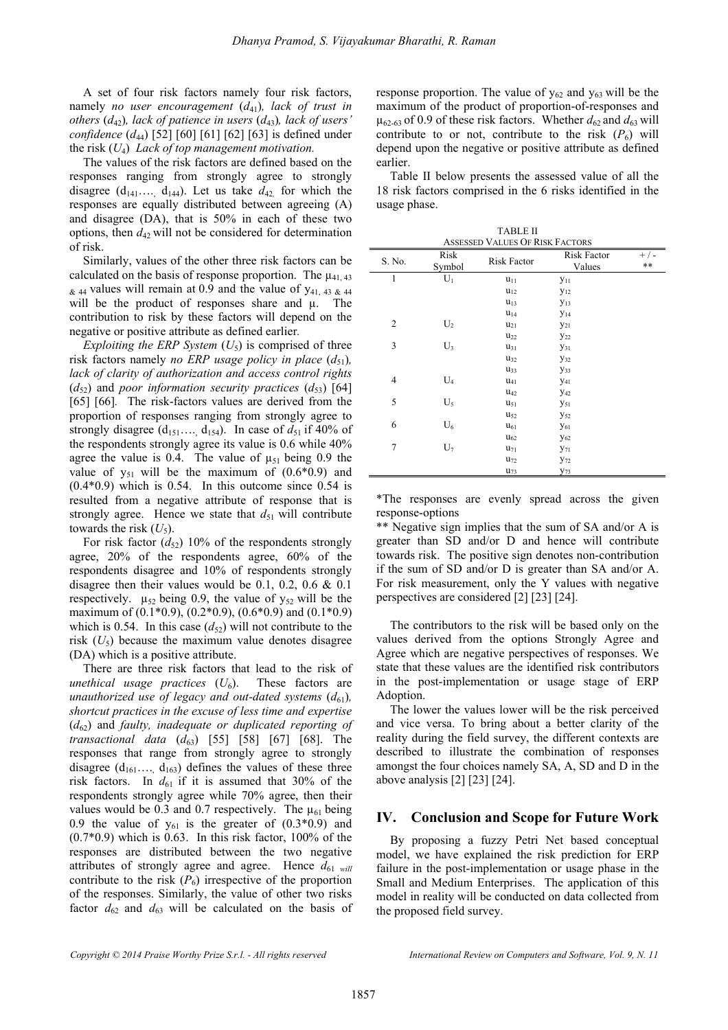A set of four risk factors namely four risk factors, namely *no user encouragement*  $(d_{41})$ *, lack of trust in others*  $(d_{42})$ *, lack of patience in users*  $(d_{43})$ *, lack of users' confidence* (*d*<sub>44</sub>) [52] [60] [61] [62] [63] is defined under the risk (*U*4) *Lack of top management motivation.*

The values of the risk factors are defined based on the responses ranging from strongly agree to strongly disagree  $(d_{141} \ldots, d_{144})$ . Let us take  $d_{42}$  for which the responses are equally distributed between agreeing (A) and disagree (DA), that is 50% in each of these two options, then  $d_{42}$  will not be considered for determination of risk.

Similarly, values of the other three risk factors can be calculated on the basis of response proportion. The  $\mu_{41,43}$  $\⊂>44$  values will remain at 0.9 and the value of  $y_{41, 43, 44}$ will be the product of responses share and  $\mu$ . The contribution to risk by these factors will depend on the negative or positive attribute as defined earlier*.*

*Exploiting the ERP System*  $(U_5)$  is comprised of three risk factors namely *no ERP* usage policy in place  $(d_{51})$ , *lack of clarity of authorization and access control rights*   $(d_{52})$  and *poor information security practices*  $(d_{53})$  [64] [65] [66]. The risk-factors values are derived from the proportion of responses ranging from strongly agree to strongly disagree  $(d_{151} \ldots, d_{154})$ . In case of  $d_{51}$  if 40% of the respondents strongly agree its value is 0.6 while 40% agree the value is 0.4. The value of  $\mu_{51}$  being 0.9 the value of  $y_{51}$  will be the maximum of  $(0.6*0.9)$  and  $(0.4*0.9)$  which is 0.54. In this outcome since 0.54 is resulted from a negative attribute of response that is strongly agree. Hence we state that  $d_{51}$  will contribute towards the risk  $(U_5)$ .

For risk factor  $(d_{52})$  10% of the respondents strongly agree, 20% of the respondents agree, 60% of the respondents disagree and 10% of respondents strongly disagree then their values would be 0.1, 0.2, 0.6 & 0.1 respectively.  $\mu_{52}$  being 0.9, the value of  $y_{52}$  will be the maximum of  $(0.1*0.9)$ ,  $(0.2*0.9)$ ,  $(0.6*0.9)$  and  $(0.1*0.9)$ which is 0.54. In this case  $(d_{52})$  will not contribute to the risk  $(U_5)$  because the maximum value denotes disagree (DA) which is a positive attribute.

There are three risk factors that lead to the risk of *unethical usage practices*  $(U_6)$ . These factors are *unauthorized use of legacy and out-dated systems*  $(d_{61})$ *, shortcut practices in the excuse of less time and expertise*  (*d*62) and *faulty, inadequate or duplicated reporting of transactional data* (*d*<sub>63</sub>) [55] [58] [67] [68]. The responses that range from strongly agree to strongly disagree  $(d_{161}..., d_{163})$  defines the values of these three risk factors. In  $d_{61}$  if it is assumed that 30% of the respondents strongly agree while 70% agree, then their values would be 0.3 and 0.7 respectively. The  $\mu_{61}$  being 0.9 the value of  $y_{61}$  is the greater of  $(0.3*0.9)$  and  $(0.7*0.9)$  which is 0.63. In this risk factor, 100% of the responses are distributed between the two negative attributes of strongly agree and agree. Hence  $d_{61}$  *will* contribute to the risk  $(P_6)$  irrespective of the proportion of the responses. Similarly, the value of other two risks factor  $d_{62}$  and  $d_{63}$  will be calculated on the basis of

response proportion. The value of  $y_{62}$  and  $y_{63}$  will be the maximum of the product of proportion-of-responses and  $\mu_{62-63}$  of 0.9 of these risk factors. Whether  $d_{62}$  and  $d_{63}$  will contribute to or not, contribute to the risk  $(P_6)$  will depend upon the negative or positive attribute as defined earlier.

Table II below presents the assessed value of all the 18 risk factors comprised in the 6 risks identified in the usage phase.

| <b>TABLE II</b><br><b>ASSESSED VALUES OF RISK FACTORS</b> |                |                    |                              |             |  |  |  |  |
|-----------------------------------------------------------|----------------|--------------------|------------------------------|-------------|--|--|--|--|
| S. No.                                                    | Risk<br>Symbol | <b>Risk Factor</b> | <b>Risk Factor</b><br>Values | $+/-$<br>** |  |  |  |  |
| 1                                                         | $U_1$          | $u_{11}$           | <b>y</b> <sub>11</sub>       |             |  |  |  |  |
|                                                           |                | $u_{12}$           | $y_{12}$                     |             |  |  |  |  |
|                                                           |                | $u_{13}$           | $y_{13}$                     |             |  |  |  |  |
|                                                           |                | $u_{14}$           | $y_{14}$                     |             |  |  |  |  |
| $\overline{2}$                                            | $U_2$          | $u_{21}$           | $y_{21}$                     |             |  |  |  |  |
|                                                           |                | $u_{22}$           | <b>y</b> <sub>22</sub>       |             |  |  |  |  |
| 3                                                         | $U_3$          | $u_{31}$           | <b>Y</b> <sub>31</sub>       |             |  |  |  |  |
|                                                           |                | $u_{32}$           | <b>y</b> 32                  |             |  |  |  |  |
|                                                           |                | $u_{33}$           | <b>Y</b> 33                  |             |  |  |  |  |
| $\overline{4}$                                            | $U_4$          | $\mathrm{u}_{41}$  | <b>Y</b> 41                  |             |  |  |  |  |
|                                                           |                | $u_{42}$           | <b>y</b> <sub>42</sub>       |             |  |  |  |  |
| 5                                                         | $U_5$          | $u_{51}$           | <b>y</b> <sub>51</sub>       |             |  |  |  |  |
|                                                           |                | $u_{52}$           | <b>y</b> <sub>52</sub>       |             |  |  |  |  |
| 6                                                         | $U_6$          | $u_{61}$           | <b>y</b> <sub>61</sub>       |             |  |  |  |  |
|                                                           |                | $u_{62}$           | <b>y</b> <sub>62</sub>       |             |  |  |  |  |
| $\overline{7}$                                            | $U_7$          | $u_{71}$           | <b>Y</b> <sub>71</sub>       |             |  |  |  |  |
|                                                           |                | $u_{72}$           | y <sub>72</sub>              |             |  |  |  |  |
|                                                           |                | $u_{73}$           | <b>y</b> <sub>73</sub>       |             |  |  |  |  |

\*The responses are evenly spread across the given response-options

\*\* Negative sign implies that the sum of SA and/or A is greater than SD and/or D and hence will contribute towards risk. The positive sign denotes non-contribution if the sum of SD and/or D is greater than SA and/or A. For risk measurement, only the Y values with negative perspectives are considered [2] [23] [24].

The contributors to the risk will be based only on the values derived from the options Strongly Agree and Agree which are negative perspectives of responses. We state that these values are the identified risk contributors in the post-implementation or usage stage of ERP Adoption.

The lower the values lower will be the risk perceived and vice versa. To bring about a better clarity of the reality during the field survey, the different contexts are described to illustrate the combination of responses amongst the four choices namely SA, A, SD and D in the above analysis [2] [23] [24].

## **IV. Conclusion and Scope for Future Work**

By proposing a fuzzy Petri Net based conceptual model, we have explained the risk prediction for ERP failure in the post-implementation or usage phase in the Small and Medium Enterprises. The application of this model in reality will be conducted on data collected from the proposed field survey.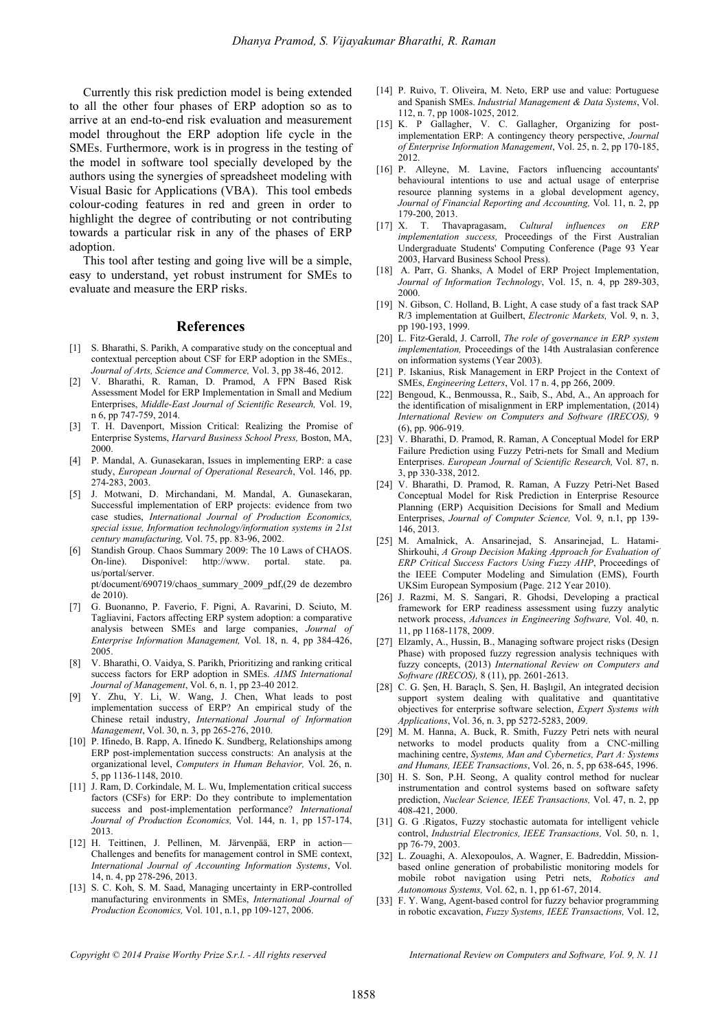Currently this risk prediction model is being extended to all the other four phases of ERP adoption so as to arrive at an end-to-end risk evaluation and measurement model throughout the ERP adoption life cycle in the SMEs. Furthermore, work is in progress in the testing of the model in software tool specially developed by the authors using the synergies of spreadsheet modeling with Visual Basic for Applications (VBA). This tool embeds colour-coding features in red and green in order to highlight the degree of contributing or not contributing towards a particular risk in any of the phases of ERP adoption.

This tool after testing and going live will be a simple, easy to understand, yet robust instrument for SMEs to evaluate and measure the ERP risks.

#### **References**

- [1] S. Bharathi, S. Parikh, A comparative study on the conceptual and contextual perception about CSF for ERP adoption in the SMEs., *Journal of Arts, Science and Commerce,* Vol. 3, pp 38-46, 2012.
- [2] V. Bharathi, R. Raman, D. Pramod, A FPN Based Risk Assessment Model for ERP Implementation in Small and Medium Enterprises, *Middle-East Journal of Scientific Research,* Vol. 19, n 6, pp 747-759, 2014.
- [3] T. H. Davenport, Mission Critical: Realizing the Promise of Enterprise Systems, *Harvard Business School Press,* Boston, MA, 2000.
- [4] P. Mandal, A. Gunasekaran, Issues in implementing ERP: a case study, *European Journal of Operational Research*, Vol. 146, pp. 274-283, 2003.
- [5] J. Motwani, D. Mirchandani, M. Mandal, A. Gunasekaran, Successful implementation of ERP projects: evidence from two case studies, *International Journal of Production Economics, special issue, Information technology/information systems in 21st century manufacturing,* Vol. 75, pp. 83-96, 2002.
- [6] Standish Group. Chaos Summary 2009: The 10 Laws of CHAOS. On-line). Disponível: http://www. portal. state. pa. us/portal/server. pt/document/690719/chaos\_summary\_2009\_pdf,(29 de dezembro

de 2010). [7] G. Buonanno, P. Faverio, F. Pigni, A. Ravarini, D. Sciuto, M.

- Tagliavini, Factors affecting ERP system adoption: a comparative analysis between SMEs and large companies, *Journal of Enterprise Information Management,* Vol. 18, n. 4, pp 384-426, 2005.
- [8] V. Bharathi, O. Vaidya, S. Parikh, Prioritizing and ranking critical success factors for ERP adoption in SMEs. *AIMS International Journal of Management*, Vol. 6, n. 1, pp 23-40 2012.
- Y. Zhu, Y. Li, W. Wang, J. Chen, What leads to post implementation success of ERP? An empirical study of the Chinese retail industry, *International Journal of Information Management*, Vol. 30, n. 3, pp 265-276, 2010.
- [10] P. Ifinedo, B. Rapp, A. Ifinedo K. Sundberg, Relationships among ERP post-implementation success constructs: An analysis at the organizational level, *Computers in Human Behavior,* Vol. 26, n. 5, pp 1136-1148, 2010.
- [11] J. Ram, D. Corkindale, M. L. Wu, Implementation critical success factors (CSFs) for ERP: Do they contribute to implementation success and post-implementation performance? *International Journal of Production Economics,* Vol. 144, n. 1, pp 157-174, 2013.
- [12] H. Teittinen, J. Pellinen, M. Järvenpää, ERP in action— Challenges and benefits for management control in SME context, *International Journal of Accounting Information Systems*, Vol. 14, n. 4, pp 278-296, 2013.
- [13] S. C. Koh, S. M. Saad, Managing uncertainty in ERP-controlled manufacturing environments in SMEs, *International Journal of Production Economics,* Vol. 101, n.1, pp 109-127, 2006.
- [14] P. Ruivo, T. Oliveira, M. Neto, ERP use and value: Portuguese and Spanish SMEs. *Industrial Management & Data Systems*, Vol. 112, n. 7, pp 1008-1025, 2012.
- [15] K. P Gallagher, V. C. Gallagher, Organizing for postimplementation ERP: A contingency theory perspective, *Journal of Enterprise Information Management*, Vol. 25, n. 2, pp 170-185, 2012.
- [16] P. Alleyne, M. Lavine, Factors influencing accountants' behavioural intentions to use and actual usage of enterprise resource planning systems in a global development agency, *Journal of Financial Reporting and Accounting,* Vol. 11, n. 2, pp 179-200, 2013.
- [17] X. T. Thavapragasam, *Cultural influences on ERP implementation success,* Proceedings of the First Australian Undergraduate Students' Computing Conference (Page 93 Year 2003, Harvard Business School Press).
- [18] A. Parr, G. Shanks, A Model of ERP Project Implementation, *Journal of Information Technology*, Vol. 15, n. 4, pp 289-303, 2000.
- [19] N. Gibson, C. Holland, B. Light, A case study of a fast track SAP R/3 implementation at Guilbert, *Electronic Markets,* Vol. 9, n. 3, pp 190-193, 1999.
- [20] L. Fitz-Gerald, J. Carroll, *The role of governance in ERP system implementation,* Proceedings of the 14th Australasian conference on information systems (Year 2003).
- [21] P. Iskanius, Risk Management in ERP Project in the Context of SMEs, *Engineering Letters*, Vol. 17 n. 4, pp 266, 2009.
- [22] Bengoud, K., Benmoussa, R., Saib, S., Abd, A., An approach for the identification of misalignment in ERP implementation, (2014) *International Review on Computers and Software (IRECOS),* 9 (6), pp. 906-919.
- [23] V. Bharathi, D. Pramod, R. Raman, A Conceptual Model for ERP Failure Prediction using Fuzzy Petri-nets for Small and Medium Enterprises. *European Journal of Scientific Research,* Vol. 87, n. 3, pp 330-338, 2012.
- [24] V. Bharathi, D. Pramod, R. Raman, A Fuzzy Petri-Net Based Conceptual Model for Risk Prediction in Enterprise Resource Planning (ERP) Acquisition Decisions for Small and Medium Enterprises, *Journal of Computer Science,* Vol. 9, n.1, pp 139- 146, 2013.
- [25] M. Amalnick, A. Ansarinejad, S. Ansarinejad, L. Hatami-Shirkouhi, *A Group Decision Making Approach for Evaluation of ERP Critical Success Factors Using Fuzzy AHP*, Proceedings of the IEEE Computer Modeling and Simulation (EMS), Fourth UKSim European Symposium (Page. 212 Year 2010).
- [26] J. Razmi, M. S. Sangari, R. Ghodsi, Developing a practical framework for ERP readiness assessment using fuzzy analytic network process, *Advances in Engineering Software,* Vol. 40, n. 11, pp 1168-1178, 2009.
- [27] Elzamly, A., Hussin, B., Managing software project risks (Design Phase) with proposed fuzzy regression analysis techniques with fuzzy concepts, (2013) *International Review on Computers and Software (IRECOS),* 8 (11), pp. 2601-2613.
- [28] C. G. Şen, H. Baraçlı, S. Şen, H. Başlıgil, An integrated decision support system dealing with qualitative and quantitative objectives for enterprise software selection, *Expert Systems with Applications*, Vol. 36, n. 3, pp 5272-5283, 2009.
- [29] M. M. Hanna, A. Buck, R. Smith, Fuzzy Petri nets with neural networks to model products quality from a CNC-milling machining centre, *Systems, Man and Cybernetics, Part A: Systems and Humans, IEEE Transactions*, Vol. 26, n. 5, pp 638-645, 1996.
- [30] H. S. Son, P.H. Seong, A quality control method for nuclear instrumentation and control systems based on software safety prediction, *Nuclear Science, IEEE Transactions,* Vol. 47, n. 2, pp 408-421, 2000.
- [31] G. G .Rigatos, Fuzzy stochastic automata for intelligent vehicle control, *Industrial Electronics, IEEE Transactions,* Vol. 50, n. 1, pp 76-79, 2003.
- [32] L. Zouaghi, A. Alexopoulos, A. Wagner, E. Badreddin, Missionbased online generation of probabilistic monitoring models for mobile robot navigation using Petri nets, *Robotics and Autonomous Systems,* Vol. 62, n. 1, pp 61-67, 2014.
- [33] F. Y. Wang, Agent-based control for fuzzy behavior programming in robotic excavation, *Fuzzy Systems, IEEE Transactions,* Vol. 12,

*Copyright © 2014 Praise Worthy Prize S.r.l. - All rights reserved International Review on Computers and Software, Vol. 9, N. 11*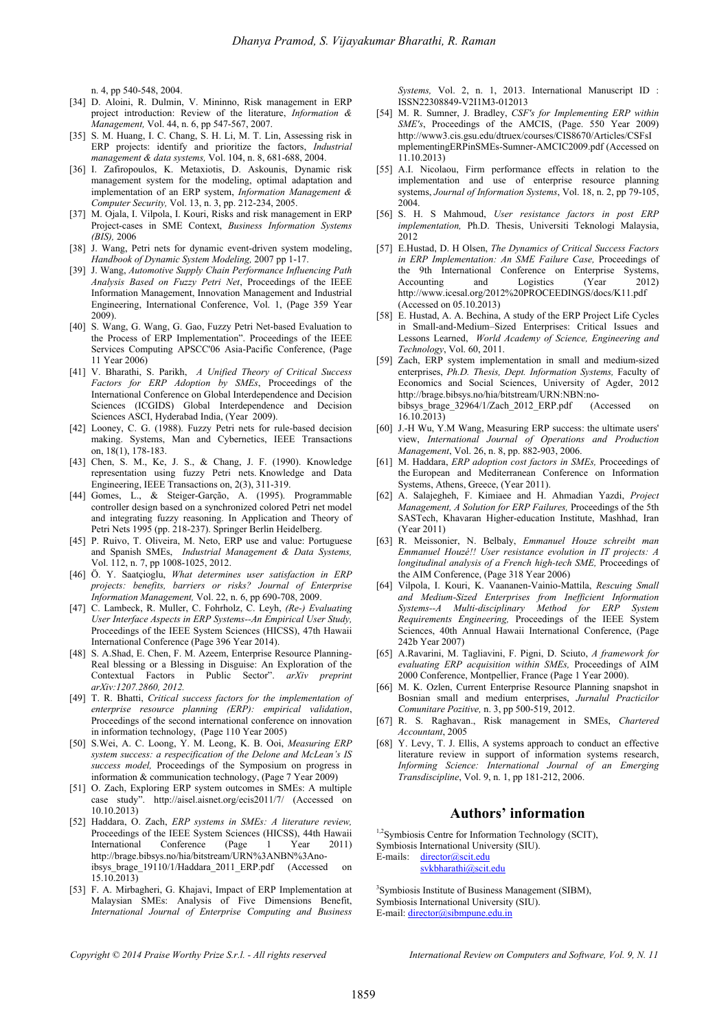n. 4, pp 540-548, 2004.

- [34] D. Aloini, R. Dulmin, V. Mininno, Risk management in ERP project introduction: Review of the literature, *Information & Management,* Vol. 44, n. 6, pp 547-567, 2007.
- [35] S. M. Huang, I. C. Chang, S. H. Li, M. T. Lin, Assessing risk in ERP projects: identify and prioritize the factors, *Industrial management & data systems,* Vol. 104, n. 8, 681-688, 2004.
- [36] I. Zafiropoulos, K. Metaxiotis, D. Askounis, Dynamic risk management system for the modeling, optimal adaptation and implementation of an ERP system, *Information Management & Computer Security,* Vol. 13, n. 3, pp. 212-234, 2005.
- [37] M. Ojala, I. Vilpola, I. Kouri, Risks and risk management in ERP Project-cases in SME Context, *Business Information Systems (BIS),* 2006
- [38] J. Wang, Petri nets for dynamic event-driven system modeling, *Handbook of Dynamic System Modeling,* 2007 pp 1-17.
- [39] J. Wang, *Automotive Supply Chain Performance Influencing Path Analysis Based on Fuzzy Petri Net*, Proceedings of the IEEE Information Management, Innovation Management and Industrial Engineering, International Conference, Vol. 1, (Page 359 Year 2009).
- [40] S. Wang, G. Wang, G. Gao, Fuzzy Petri Net-based Evaluation to the Process of ERP Implementation". Proceedings of the IEEE Services Computing APSCC'06 Asia-Pacific Conference, (Page 11 Year 2006)
- [41] V. Bharathi, S. Parikh, *A Unified Theory of Critical Success Factors for ERP Adoption by SMEs*, Proceedings of the International Conference on Global Interdependence and Decision Sciences (ICGIDS) Global Interdependence and Decision Sciences ASCI, Hyderabad India, (Year 2009).
- [42] Looney, C. G. (1988). Fuzzy Petri nets for rule-based decision making. Systems, Man and Cybernetics, IEEE Transactions on, 18(1), 178-183.
- [43] Chen, S. M., Ke, J. S., & Chang, J. F. (1990). Knowledge representation using fuzzy Petri nets. Knowledge and Data Engineering, IEEE Transactions on, 2(3), 311-319.
- [44] Gomes, L., & Steiger-Garção, A. (1995). Programmable controller design based on a synchronized colored Petri net model and integrating fuzzy reasoning. In Application and Theory of Petri Nets 1995 (pp. 218-237). Springer Berlin Heidelberg.
- [45] P. Ruivo, T. Oliveira, M. Neto, ERP use and value: Portuguese and Spanish SMEs, *Industrial Management & Data Systems,*  Vol. 112, n. 7, pp 1008-1025, 2012.
- [46] Ö. Y. Saatçioglu, *What determines user satisfaction in ERP projects: benefits, barriers or risks? Journal of Enterprise Information Management,* Vol. 22, n. 6, pp 690-708, 2009.
- [47] C. Lambeck, R. Muller, C. Fohrholz, C. Leyh, *(Re-) Evaluating User Interface Aspects in ERP Systems--An Empirical User Study,* Proceedings of the IEEE System Sciences (HICSS), 47th Hawaii International Conference (Page 396 Year 2014).
- [48] S. A.Shad, E. Chen, F. M. Azeem, Enterprise Resource Planning-Real blessing or a Blessing in Disguise: An Exploration of the Contextual Factors in Public Sector". *arXiv preprint arXiv:1207.2860, 2012.*
- [49] T. R. Bhatti, *Critical success factors for the implementation of enterprise resource planning (ERP): empirical validation*, Proceedings of the second international conference on innovation in information technology, (Page 110 Year 2005)
- [50] S.Wei, A. C. Loong, Y. M. Leong, K. B. Ooi, *Measuring ERP system success: a respecification of the Delone and McLean's IS success model,* Proceedings of the Symposium on progress in information & communication technology, (Page 7 Year 2009)
- [51] O. Zach, Exploring ERP system outcomes in SMEs: A multiple case study". http://aisel.aisnet.org/ecis2011/7/ (Accessed on 10.10.2013)
- [52] Haddara, O. Zach, *ERP systems in SMEs: A literature review,*  Proceedings of the IEEE System Sciences (HICSS), 44th Hawaii International Conference (Page 1 Year 2011) http://brage.bibsys.no/hia/bitstream/URN%3ANBN%3Anoibsys\_brage\_19110/1/Haddara\_2011\_ERP.pdf (Accessed on  $15.10.2013$
- [53] F. A. Mirbagheri, G. Khajavi, Impact of ERP Implementation at Malaysian SMEs: Analysis of Five Dimensions Benefit, *International Journal of Enterprise Computing and Business*

*Systems,* Vol. 2, n. 1, 2013. International Manuscript ID : ISSN22308849-V2I1M3-012013

- [54] M. R. Sumner, J. Bradley, *CSF's for Implementing ERP within SME's*, Proceedings of the AMCIS, (Page. 550 Year 2009) http://www3.cis.gsu.edu/dtruex/courses/CIS8670/Articles/CSFsI mplementingERPinSMEs-Sumner-AMCIC2009.pdf (Accessed on 11.10.2013)
- [55] A.I. Nicolaou, Firm performance effects in relation to the implementation and use of enterprise resource planning systems, *Journal of Information Systems*, Vol. 18, n. 2, pp 79-105, 2004.
- [56] S. H. S Mahmoud, *User resistance factors in post ERP implementation,* Ph.D. Thesis, Universiti Teknologi Malaysia, 2012
- [57] E.Hustad, D. H Olsen, *The Dynamics of Critical Success Factors in ERP Implementation: An SME Failure Case,* Proceedings of the 9th International Conference on Enterprise Systems,<br>Accounting and Logistics (Year 2012) Accounting and Logistics (Year http://www.icesal.org/2012%20PROCEEDINGS/docs/K11.pdf (Accessed on 05.10.2013)
- [58] E. Hustad, A. A. Bechina, A study of the ERP Project Life Cycles in Small-and-Medium–Sized Enterprises: Critical Issues and Lessons Learned, *World Academy of Science, Engineering and Technology*, Vol. 60, 2011.
- [59] Zach, ERP system implementation in small and medium-sized enterprises, *Ph.D. Thesis, Dept. Information Systems,* Faculty of Economics and Social Sciences, University of Agder, 2012 http://brage.bibsys.no/hia/bitstream/URN:NBN:no-<br>bibsys brage 32964/1/Zach 2012 ERP.pdf (Accessed bibsys\_brage\_32964/1/Zach\_2012\_ERP.pdf (Accessed on 16.10.2013)
- [60] J.-H Wu, Y.M Wang, Measuring ERP success: the ultimate users' view, *International Journal of Operations and Production Management*, Vol. 26, n. 8, pp. 882-903, 2006.
- [61] M. Haddara, *ERP adoption cost factors in SMEs,* Proceedings of the European and Mediterranean Conference on Information Systems, Athens, Greece, (Year 2011).
- [62] A. Salajegheh, F. Kimiaee and H. Ahmadian Yazdi, *Project Management, A Solution for ERP Failures,* Proceedings of the 5th SASTech, Khavaran Higher-education Institute, Mashhad, Iran (Year 2011)
- [63] R. Meissonier, N. Belbaly, *Emmanuel Houze schreibt man Emmanuel Houzé!! User resistance evolution in IT projects: A longitudinal analysis of a French high-tech SME,* Proceedings of the AIM Conference, (Page 318 Year 2006)
- [64] Vilpola, I. Kouri, K. Vaananen-Vainio-Mattila, *Rescuing Small and Medium-Sized Enterprises from Inefficient Information Systems--A Multi-disciplinary Method for ERP System Requirements Engineering,* Proceedings of the IEEE System Sciences, 40th Annual Hawaii International Conference, (Page 242b Year 2007)
- [65] A.Ravarini, M. Tagliavini, F. Pigni, D. Sciuto, *A framework for evaluating ERP acquisition within SMEs,* Proceedings of AIM 2000 Conference, Montpellier, France (Page 1 Year 2000).
- [66] M. K. Ozlen, Current Enterprise Resource Planning snapshot in Bosnian small and medium enterprises, *Jurnalul Practicilor Comunitare Pozitive,* n. 3, pp 500-519, 2012.
- [67] R. S. Raghavan., Risk management in SMEs, *Chartered Accountant*, 2005
- [68] Y. Levy, T. J. Ellis, A systems approach to conduct an effective literature review in support of information systems research, *Informing Science: International Journal of an Emerging Transdiscipline*, Vol. 9, n. 1, pp 181-212, 2006.

#### **Authors' information**

<sup>1,2</sup>Symbiosis Centre for Information Technology (SCIT),

Symbiosis International University (SIU). E-mails: director@scit.edu

svkbharathi@scit.edu

<sup>3</sup>Symbiosis Institute of Business Management (SIBM), Symbiosis International University (SIU). E-mail: director@sibmpune.edu.in